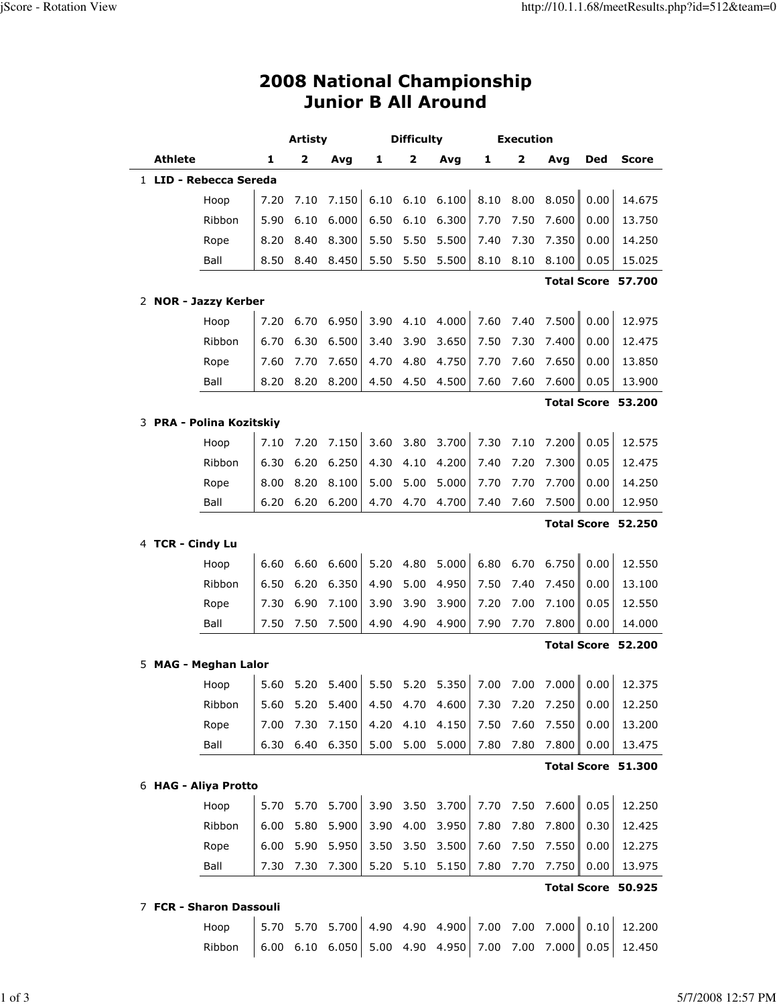## 2008 National Championship Junior B All Around

|                                            |                          | Artisty |      |                                                      | Difficulty |           |                 | Execution |      |              |            |                    |
|--------------------------------------------|--------------------------|---------|------|------------------------------------------------------|------------|-----------|-----------------|-----------|------|--------------|------------|--------------------|
|                                            | <b>Athlete</b>           | 1       | 2    | Avg                                                  | 1          | 2         | Avg             | 1         | 2    | Avq          | <b>Ded</b> | <b>Score</b>       |
|                                            | 1 LID - Rebecca Sereda   |         |      |                                                      |            |           |                 |           |      |              |            |                    |
|                                            | Hoop                     | 7.20    | 7.10 | 7.150                                                | 6.10       | 6.10      | 6.100           | 8.10      | 8.00 | 8.050        | 0.00       | 14.675             |
|                                            | Ribbon                   | 5.90    | 6.10 | 6.000                                                | 6.50       | 6.10      | 6.300           | 7.70      | 7.50 | 7.600        | 0.00       | 13.750             |
|                                            | Rope                     | 8.20    | 8.40 | 8.300                                                | 5.50       | 5.50      | 5.500           | 7.40      | 7.30 | 7.350        | 0.00       | 14.250             |
|                                            | Ball                     | 8.50    | 8.40 | 8.450                                                | 5.50       | 5.50      | 5.500           | 8.10      | 8.10 | 8.100        | 0.05       | 15.025             |
|                                            |                          |         |      |                                                      |            |           |                 |           |      |              |            | Total Score 57.700 |
|                                            | 2 NOR - Jazzy Kerber     |         |      |                                                      |            |           |                 |           |      |              |            |                    |
|                                            | Hoop                     | 7.20    | 6.70 | 6.950                                                |            | 3.90 4.10 | 4.000           | 7.60      | 7.40 | 7.500        | 0.00       | 12.975             |
|                                            | Ribbon                   | 6.70    | 6.30 | 6.500                                                | 3.40       | 3.90      | 3.650           | 7.50      | 7.30 | 7.400        | 0.00       | 12.475             |
|                                            | Rope                     | 7.60    | 7.70 | 7.650                                                | 4.70       | 4.80      | 4.750           | 7.70      | 7.60 | 7.650        | 0.00       | 13.850             |
|                                            | Ball                     | 8.20    | 8.20 | 8.200                                                | 4.50       | 4.50      | 4.500           | 7.60      | 7.60 | 7.600        | 0.05       | 13.900             |
|                                            |                          |         |      |                                                      |            |           |                 |           |      |              |            | Total Score 53.200 |
|                                            | 3 PRA - Polina Kozitskiy |         |      |                                                      |            |           |                 |           |      |              |            |                    |
|                                            | Hoop                     | 7.10    | 7.20 | 7.150                                                | 3.60       | 3.80      | 3.700           | 7.30      | 7.10 | 7.200        | 0.05       | 12.575             |
|                                            | Ribbon                   | 6.30    | 6.20 | 6.250                                                | 4.30       | 4.10      | 4.200           | 7.40      | 7.20 | 7.300        | 0.05       | 12.475             |
|                                            | Rope                     | 8.00    | 8.20 | 8.100                                                | 5.00       | 5.00      | 5.000           | 7.70      | 7.70 | 7.700        | 0.00       | 14.250             |
|                                            | Ball                     | 6.20    | 6.20 | 6.200                                                | 4.70       | 4.70      | 4.700           | 7.40      | 7.60 | 7.500        | 0.00       | 12.950             |
|                                            |                          |         |      |                                                      |            |           |                 |           |      |              |            | Total Score 52.250 |
|                                            | 4 TCR - Cindy Lu         |         |      |                                                      |            |           |                 |           |      |              |            |                    |
|                                            | Hoop                     | 6.60    | 6.60 | 6.600                                                | 5.20       | 4.80      | 5.000           | 6.80      | 6.70 | 6.750        | 0.00       | 12.550             |
|                                            | Ribbon                   | 6.50    | 6.20 | 6.350                                                | 4.90       | 5.00      | 4.950           | 7.50      | 7.40 | 7.450        | 0.00       | 13.100             |
|                                            | Rope                     | 7.30    | 6.90 | 7.100                                                | 3.90       | 3.90      | 3.900           | 7.20      | 7.00 | 7.100        | 0.05       | 12.550             |
|                                            | Ball                     | 7.50    | 7.50 | 7.500                                                | 4.90       | 4.90      | 4.900           | 7.90      | 7.70 | 7.800        | 0.00       | 14.000             |
|                                            | 5 MAG - Meghan Lalor     |         |      |                                                      |            |           |                 |           |      |              |            | Total Score 52.200 |
|                                            | Hoop                     | 5.60    | 5.20 | 5.400                                                |            |           | 5.50 5.20 5.350 | 7.00      | 7.00 | 7.000   0.00 |            | 12.375             |
|                                            | Ribbon                   |         |      | 5.60 5.20 5.400 4.50 4.70 4.600 7.30 7.20 7.250 0.00 |            |           |                 |           |      |              |            | 12.250             |
|                                            | Rope                     | 7.00    | 7.30 | 7.150                                                | 4.20       | 4.10      | 4.150           | 7.50      | 7.60 | 7.550        | 0.00       | 13.200             |
|                                            | Ball                     | 6.30    | 6.40 | 6.350                                                | 5.00       | 5.00      | 5.000           | 7.80      | 7.80 | 7.800        | 0.00       | 13.475             |
|                                            |                          |         |      |                                                      |            |           |                 |           |      |              |            |                    |
| Total Score 51.300<br>6 HAG - Aliya Protto |                          |         |      |                                                      |            |           |                 |           |      |              |            |                    |
|                                            | Hoop                     | 5.70    | 5.70 | 5.700                                                | 3.90       | 3.50      | 3.700           | 7.70      | 7.50 | 7.600        | 0.05       | 12.250             |
|                                            | Ribbon                   | 6.00    | 5.80 | 5.900                                                | 3.90       | 4.00      | 3.950           | 7.80      | 7.80 | 7.800        | 0.30       | 12.425             |
|                                            | Rope                     | 6.00    | 5.90 | 5.950                                                | 3.50       | 3.50      | 3.500           | 7.60      | 7.50 | 7.550        | 0.00       | 12.275             |
|                                            | Ball                     | 7.30    | 7.30 | 7.300                                                | 5.20       | 5.10      | 5.150           | 7.80      | 7.70 | 7.750        | 0.00       | 13.975             |
|                                            |                          |         |      |                                                      |            |           |                 |           |      |              |            | Total Score 50.925 |
|                                            | 7 FCR - Sharon Dassouli  |         |      |                                                      |            |           |                 |           |      |              |            |                    |

 Hoop 5.70 5.70 5.700 4.90 4.90 4.900 7.00 7.00 7.000 0.10 12.200 Ribbon 6.00 6.10 6.050 5.00 4.90 4.950 7.00 7.00 7.000 0.05 12.450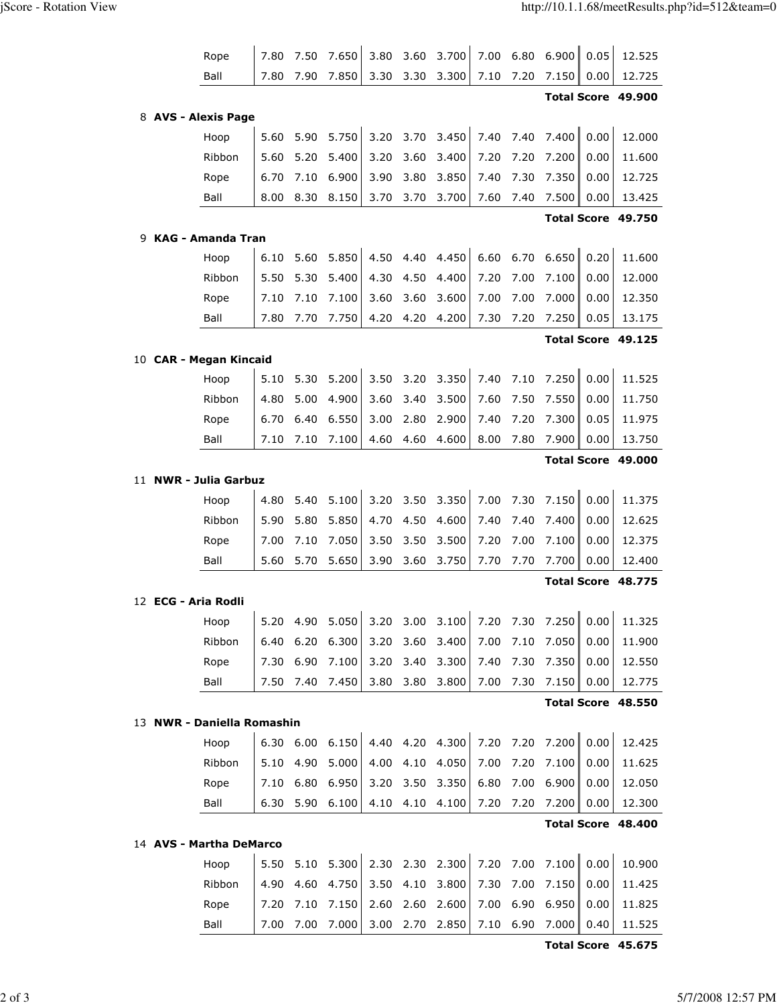|                     | Rope                       | 7.80         | 7.50         | 7.650          | 3.80         | 3.60         | 3.700           | 7.00         | 6.80         | 6.900          | 0.05         | 12.525             |
|---------------------|----------------------------|--------------|--------------|----------------|--------------|--------------|-----------------|--------------|--------------|----------------|--------------|--------------------|
|                     | Ball                       | 7.80         | 7.90         | 7.850          | 3.30         | 3.30         | 3.300           | 7.10         | 7.20         | 7.150          | 0.00         | 12.725             |
|                     |                            |              |              |                |              |              |                 |              |              |                |              | Total Score 49.900 |
| 8 AVS - Alexis Page |                            |              |              |                |              |              |                 |              |              |                |              |                    |
|                     | Hoop                       | 5.60         | 5.90         | 5.750          | 3.20         | 3.70         | 3.450           | 7.40         | 7.40         | 7.400          | 0.00         | 12.000             |
|                     | Ribbon                     | 5.60         | 5.20         | 5.400          | 3.20         | 3.60         | 3.400           | 7.20         | 7.20         | 7.200          | 0.00         | 11.600             |
|                     | Rope                       | 6.70         | 7.10         | 6.900          | 3.90         | 3.80         | 3.850           | 7.40         | 7.30         | 7.350          | 0.00         | 12.725             |
|                     | Ball                       | 8.00         | 8.30         | 8.150          | 3.70         | 3.70         | 3.700           | 7.60         | 7.40         | 7.500          | 0.00         | 13.425             |
|                     |                            |              |              |                |              |              |                 |              |              |                |              | Total Score 49.750 |
|                     | 9 KAG - Amanda Tran        |              |              |                |              |              |                 |              |              |                |              |                    |
|                     | Hoop                       | 6.10         | 5.60         | 5.850          | 4.50         | 4.40         | 4.450           | 6.60         | 6.70         | 6.650          | 0.20         | 11.600             |
|                     | Ribbon                     | 5.50         | 5.30         | 5.400          | 4.30         | 4.50         | 4.400           | 7.20         | 7.00         | 7.100          | 0.00         | 12.000             |
|                     | Rope                       | 7.10         | 7.10         | 7.100          | 3.60         | 3.60         | 3.600           | 7.00         | 7.00         | 7.000          | 0.00         | 12.350             |
|                     | Ball                       | 7.80         | 7.70         | 7.750          | 4.20         | 4.20         | 4.200           | 7.30         | 7.20         | 7.250          | 0.05         | 13.175             |
|                     |                            |              |              |                |              |              |                 |              |              |                |              | Total Score 49.125 |
|                     | 10 CAR - Megan Kincaid     |              |              |                |              |              |                 |              |              |                |              |                    |
|                     | Hoop                       | 5.10         | 5.30         | 5.200          | 3.50         | 3.20         | 3.350           | 7.40         | 7.10         | 7.250          | 0.00         | 11.525             |
|                     | Ribbon                     | 4.80         | 5.00         | 4.900          | 3.60         | 3.40         | 3.500           | 7.60         | 7.50         | 7.550          | 0.00         | 11.750             |
|                     | Rope                       | 6.70         | 6.40         | 6.550          | 3.00         | 2.80         | 2.900           | 7.40         | 7.20         | 7.300          | 0.05         | 11.975             |
|                     | Ball                       | 7.10         | 7.10         | 7.100          | 4.60         | 4.60         | 4.600           | 8.00         | 7.80         | 7.900          | 0.00         | 13.750             |
|                     |                            |              |              |                |              |              |                 |              |              |                |              | Total Score 49.000 |
|                     |                            |              |              |                |              |              |                 |              |              |                |              |                    |
|                     | 11 NWR - Julia Garbuz      |              |              |                |              |              |                 |              |              |                |              |                    |
|                     | Hoop                       | 4.80         | 5.40         | 5.100          | 3.20         | 3.50         | 3.350           | 7.00         | 7.30         | 7.150          | 0.00         | 11.375             |
|                     | Ribbon                     | 5.90         | 5.80         | 5.850          | 4.70         | 4.50         | 4.600           | 7.40         | 7.40         | 7.400          | 0.00         | 12.625             |
|                     | Rope                       | 7.00         | 7.10         | 7.050          | 3.50         | 3.50         | 3.500           | 7.20         | 7.00         | 7.100          | 0.00         | 12.375             |
|                     | Ball                       | 5.60         | 5.70         | 5.650          | 3.90         | 3.60         | 3.750           | 7.70         | 7.70         | 7.700          | 0.00         | 12.400             |
|                     |                            |              |              |                |              |              |                 |              |              |                |              | Total Score 48.775 |
|                     | 12 ECG - Aria Rodli        |              |              |                |              |              |                 |              |              |                |              |                    |
|                     | Hoop                       | 5.20         | 4.90         | 5.050          | 3.20         | 3.00         | 3.100           | 7.20         | 7.30         | 7.250          | 0.00         | 11.325             |
|                     | Ribbon                     | 6.40         | 6.20         | 6.300          | 3.20         | 3.60         | 3.400           | 7.00         | 7.10         | 7.050          | 0.00         | 11.900             |
|                     | Rope                       | 7.30         | 6.90         | 7.100          | 3.20         | 3.40         | 3.300           | 7.40         | 7.30         | 7.350          | 0.00         | 12.550             |
|                     | Ball                       | 7.50         | 7.40         | 7.450          | 3.80         | 3.80         | 3.800           | 7.00         | 7.30         | 7.150          | 0.00         | 12.775             |
|                     |                            |              |              |                |              |              |                 |              |              |                |              | Total Score 48.550 |
|                     | 13 NWR - Daniella Romashin |              |              |                |              |              |                 |              |              |                |              |                    |
|                     | Hoop                       |              | 6.30 6.00    | 6.150          |              |              | 4.40 4.20 4.300 | 7.20         | 7.20         | 7.200          | 0.00         | 12.425             |
|                     | Ribbon                     | 5.10         | 4.90         | 5.000          | 4.00         | 4.10         | 4.050           | 7.00         | 7.20         | 7.100          | 0.00         | 11.625             |
|                     | Rope                       | 7.10         | 6.80         | 6.950          | 3.20         | 3.50         | 3.350           | 6.80         | 7.00         | 6.900          | 0.00         | 12.050             |
|                     | Ball                       | 6.30         | 5.90         | 6.100          | 4.10 4.10    |              | 4.100           | 7.20         | 7.20         | 7.200          | 0.00         | 12.300             |
|                     |                            |              |              |                |              |              |                 |              |              |                |              | Total Score 48.400 |
|                     | 14 AVS - Martha DeMarco    |              |              |                |              |              |                 |              |              |                |              |                    |
|                     | Hoop                       | 5.50         | 5.10         | 5.300          |              |              | 2.30 2.30 2.300 | 7.20         | 7.00         | 7.100          | 0.00         | 10.900             |
|                     | Ribbon                     | 4.90         | 4.60         | 4.750          | 3.50         | 4.10         | 3.800           | 7.30         | 7.00         | 7.150          | 0.00         | 11.425             |
|                     | Rope<br>Ball               | 7.20<br>7.00 | 7.10<br>7.00 | 7.150<br>7.000 | 2.60<br>3.00 | 2.60<br>2.70 | 2.600<br>2.850  | 7.00<br>7.10 | 6.90<br>6.90 | 6.950<br>7.000 | 0.00<br>0.40 | 11.825<br>11.525   |

Total Score 45.675